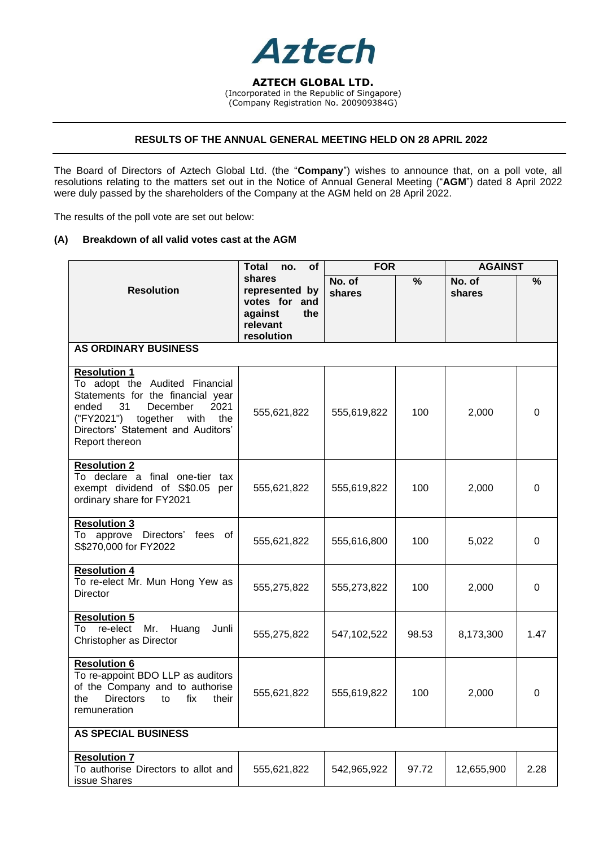

**AZTECH GLOBAL LTD.** (Incorporated in the Republic of Singapore) (Company Registration No. 200909384G)

## **RESULTS OF THE ANNUAL GENERAL MEETING HELD ON 28 APRIL 2022**

The Board of Directors of Aztech Global Ltd. (the "**Company**") wishes to announce that, on a poll vote, all resolutions relating to the matters set out in the Notice of Annual General Meeting ("**AGM**") dated 8 April 2022 were duly passed by the shareholders of the Company at the AGM held on 28 April 2022.

The results of the poll vote are set out below:

## **(A) Breakdown of all valid votes cast at the AGM**

|                                                                                                                                                                                                                                | of<br>Total<br>no.                                                                    | <b>FOR</b>       |       | <b>AGAINST</b>   |          |  |  |  |
|--------------------------------------------------------------------------------------------------------------------------------------------------------------------------------------------------------------------------------|---------------------------------------------------------------------------------------|------------------|-------|------------------|----------|--|--|--|
| <b>Resolution</b>                                                                                                                                                                                                              | shares<br>represented by<br>votes for and<br>the<br>against<br>relevant<br>resolution | No. of<br>shares | %     | No. of<br>shares | %        |  |  |  |
| <b>AS ORDINARY BUSINESS</b>                                                                                                                                                                                                    |                                                                                       |                  |       |                  |          |  |  |  |
| <b>Resolution 1</b><br>To adopt the Audited Financial<br>Statements for the financial year<br>31<br>December<br>2021<br>ended<br>("FY2021")<br>together<br>with<br>the<br>Directors' Statement and Auditors'<br>Report thereon | 555,621,822                                                                           | 555,619,822      | 100   | 2,000            | 0        |  |  |  |
| <b>Resolution 2</b><br>To declare a final one-tier<br>tax<br>exempt dividend of S\$0.05<br>per<br>ordinary share for FY2021                                                                                                    | 555,621,822                                                                           | 555,619,822      | 100   | 2,000            | 0        |  |  |  |
| <b>Resolution 3</b><br>To approve Directors'<br>fees of<br>S\$270,000 for FY2022                                                                                                                                               | 555,621,822                                                                           | 555,616,800      | 100   | 5,022            | 0        |  |  |  |
| <b>Resolution 4</b><br>To re-elect Mr. Mun Hong Yew as<br><b>Director</b>                                                                                                                                                      | 555,275,822                                                                           | 555,273,822      | 100   | 2,000            | $\Omega$ |  |  |  |
| <b>Resolution 5</b><br>To re-elect<br>Mr.<br>Huang<br>Junli<br>Christopher as Director                                                                                                                                         | 555,275,822                                                                           | 547,102,522      | 98.53 | 8,173,300        | 1.47     |  |  |  |
| <b>Resolution 6</b><br>To re-appoint BDO LLP as auditors<br>of the Company and to authorise<br>fix<br><b>Directors</b><br>their<br>the<br>to<br>remuneration                                                                   | 555,621,822                                                                           | 555,619,822      | 100   | 2,000            | 0        |  |  |  |
| <b>AS SPECIAL BUSINESS</b>                                                                                                                                                                                                     |                                                                                       |                  |       |                  |          |  |  |  |
| <b>Resolution 7</b><br>To authorise Directors to allot and<br>issue Shares                                                                                                                                                     | 555,621,822                                                                           | 542,965,922      | 97.72 | 12,655,900       | 2.28     |  |  |  |